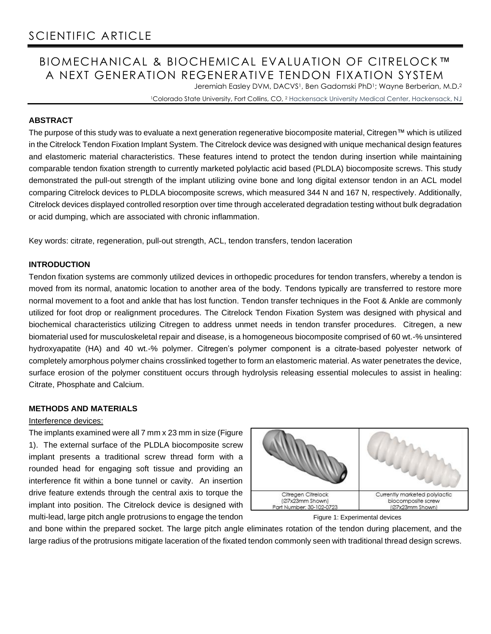# BIOMECHANICAL & BIOCHEMICAL EVALUATION OF CITRELOCK™ A NEXT GENERATION REGENERATIVE TENDON FIXATION SYSTEM

Jeremiah Easley DVM, DACVS<sup>1</sup>, Ben Gadomski PhD<sup>1</sup>; Wayne Berberian, M.D.<sup>2</sup>

<sup>1</sup>Colorado State University, Fort Collins, CO, <sup>2</sup> Hackensack University Medical Center, Hackensack, NJ

## **ABSTRACT**

The purpose of this study was to evaluate a next generation regenerative biocomposite material, Citregen™ which is utilized in the Citrelock Tendon Fixation Implant System. The Citrelock device was designed with unique mechanical design features and elastomeric material characteristics. These features intend to protect the tendon during insertion while maintaining comparable tendon fixation strength to currently marketed polylactic acid based (PLDLA) biocomposite screws. This study demonstrated the pull-out strength of the implant utilizing ovine bone and long digital extensor tendon in an ACL model comparing Citrelock devices to PLDLA biocomposite screws, which measured 344 N and 167 N, respectively. Additionally, Citrelock devices displayed controlled resorption over time through accelerated degradation testing without bulk degradation or acid dumping, which are associated with chronic inflammation.

Key words: citrate, regeneration, pull-out strength, ACL, tendon transfers, tendon laceration

## **INTRODUCTION**

Tendon fixation systems are commonly utilized devices in orthopedic procedures for tendon transfers, whereby a tendon is moved from its normal, anatomic location to another area of the body. Tendons typically are transferred to restore more normal movement to a foot and ankle that has lost function. Tendon transfer techniques in the Foot & Ankle are commonly utilized for foot drop or realignment procedures. The Citrelock Tendon Fixation System was designed with physical and biochemical characteristics utilizing Citregen to address unmet needs in tendon transfer procedures. Citregen, a new biomaterial used for musculoskeletal repair and disease, is a homogeneous biocomposite comprised of 60 wt.-% unsintered hydroxyapatite (HA) and 40 wt.-% polymer. Citregen's polymer component is a citrate-based polyester network of completely amorphous polymer chains crosslinked together to form an elastomeric material. As water penetrates the device, surface erosion of the polymer constituent occurs through hydrolysis releasing essential molecules to assist in healing: Citrate, Phosphate and Calcium.

## **METHODS AND MATERIALS**

### Interference devices:

The implants examined were all 7 mm x 23 mm in size (Figure 1). The external surface of the PLDLA biocomposite screw implant presents a traditional screw thread form with a rounded head for engaging soft tissue and providing an interference fit within a bone tunnel or cavity. An insertion drive feature extends through the central axis to torque the implant into position. The Citrelock device is designed with multi-lead, large pitch angle protrusions to engage the tendon





and bone within the prepared socket. The large pitch angle eliminates rotation of the tendon during placement, and the large radius of the protrusions mitigate laceration of the fixated tendon commonly seen with traditional thread design screws.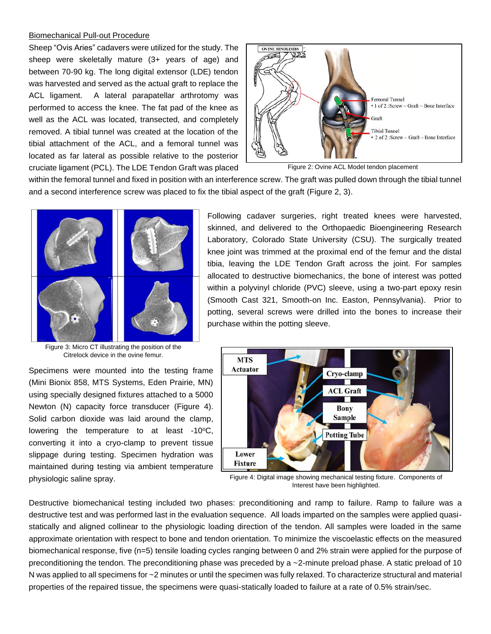#### Biomechanical Pull-out Procedure

Sheep "Ovis Aries" cadavers were utilized for the study. The sheep were skeletally mature (3+ years of age) and between 70-90 kg. The long digital extensor (LDE) tendon was harvested and served as the actual graft to replace the ACL ligament. A lateral parapatellar arthrotomy was performed to access the knee. The fat pad of the knee as well as the ACL was located, transected, and completely removed. A tibial tunnel was created at the location of the tibial attachment of the ACL, and a femoral tunnel was located as far lateral as possible relative to the posterior cruciate ligament (PCL). The LDE Tendon Graft was placed



Figure 2: Ovine ACL Model tendon placement

within the femoral tunnel and fixed in position with an interference screw. The graft was pulled down through the tibial tunnel and a second interference screw was placed to fix the tibial aspect of the graft (Figure 2, 3).



Figure 3: Micro CT illustrating the position of the Citrelock device in the ovine femur.

Specimens were mounted into the testing frame (Mini Bionix 858, MTS Systems, Eden Prairie, MN) using specially designed fixtures attached to a 5000 Newton (N) capacity force transducer (Figure 4). Solid carbon dioxide was laid around the clamp, lowering the temperature to at least -10°C, converting it into a cryo-clamp to prevent tissue slippage during testing. Specimen hydration was maintained during testing via ambient temperature physiologic saline spray.

Following cadaver surgeries, right treated knees were harvested, skinned, and delivered to the Orthopaedic Bioengineering Research Laboratory, Colorado State University (CSU). The surgically treated knee joint was trimmed at the proximal end of the femur and the distal tibia, leaving the LDE Tendon Graft across the joint. For samples allocated to destructive biomechanics, the bone of interest was potted within a polyvinyl chloride (PVC) sleeve, using a two-part epoxy resin (Smooth Cast 321, Smooth-on Inc. Easton, Pennsylvania). Prior to potting, several screws were drilled into the bones to increase their purchase within the potting sleeve.



Figure 4: Digital image showing mechanical testing fixture. Components of Interest have been highlighted.

Destructive biomechanical testing included two phases: preconditioning and ramp to failure. Ramp to failure was a destructive test and was performed last in the evaluation sequence. All loads imparted on the samples were applied quasistatically and aligned collinear to the physiologic loading direction of the tendon. All samples were loaded in the same approximate orientation with respect to bone and tendon orientation. To minimize the viscoelastic effects on the measured biomechanical response, five (n=5) tensile loading cycles ranging between 0 and 2% strain were applied for the purpose of preconditioning the tendon. The preconditioning phase was preceded by a ~2-minute preload phase. A static preload of 10 N was applied to all specimens for ~2 minutes or until the specimen was fully relaxed. To characterize structural and material properties of the repaired tissue, the specimens were quasi-statically loaded to failure at a rate of 0.5% strain/sec.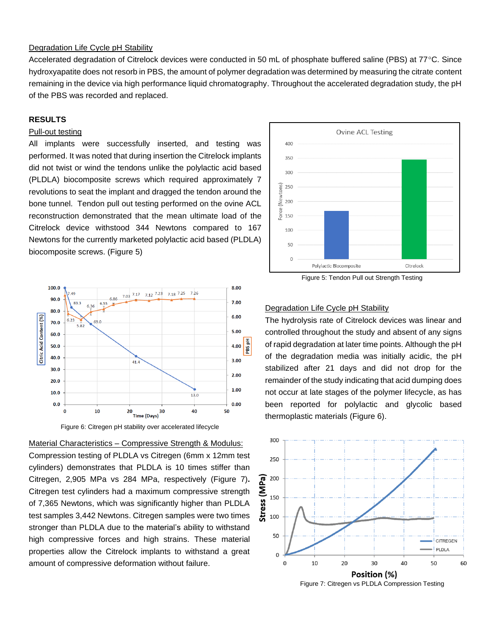### Degradation Life Cycle pH Stability

Accelerated degradation of Citrelock devices were conducted in 50 mL of phosphate buffered saline (PBS) at 77°C. Since hydroxyapatite does not resorb in PBS, the amount of polymer degradation was determined by measuring the citrate content remaining in the device via high performance liquid chromatography. Throughout the accelerated degradation study, the pH of the PBS was recorded and replaced.

#### **RESULTS**

## Pull-out testing

All implants were successfully inserted, and testing was performed. It was noted that during insertion the Citrelock implants did not twist or wind the tendons unlike the polylactic acid based (PLDLA) biocomposite screws which required approximately 7 revolutions to seat the implant and dragged the tendon around the bone tunnel. Tendon pull out testing performed on the ovine ACL reconstruction demonstrated that the mean ultimate load of the Citrelock device withstood 344 Newtons compared to 167 Newtons for the currently marketed polylactic acid based (PLDLA) biocomposite screws. (Figure 5)



Figure 5: Tendon Pull out Strength Testing



Figure 6: Citregen pH stability over accelerated lifecycle

Material Characteristics – Compressive Strength & Modulus: Compression testing of PLDLA vs Citregen (6mm x 12mm test cylinders) demonstrates that PLDLA is 10 times stiffer than Citregen, 2,905 MPa vs 284 MPa, respectively (Figure 7)**.** Citregen test cylinders had a maximum compressive strength of 7,365 Newtons, which was significantly higher than PLDLA test samples 3,442 Newtons. Citregen samples were two times stronger than PLDLA due to the material's ability to withstand high compressive forces and high strains. These material properties allow the Citrelock implants to withstand a great amount of compressive deformation without failure.

#### Degradation Life Cycle pH Stability

The hydrolysis rate of Citrelock devices was linear and controlled throughout the study and absent of any signs of rapid degradation at later time points. Although the pH of the degradation media was initially acidic, the pH stabilized after 21 days and did not drop for the remainder of the study indicating that acid dumping does not occur at late stages of the polymer lifecycle, as has been reported for polylactic and glycolic based thermoplastic materials (Figure 6).



Figure 7: Citregen vs PLDLA Compression Testing